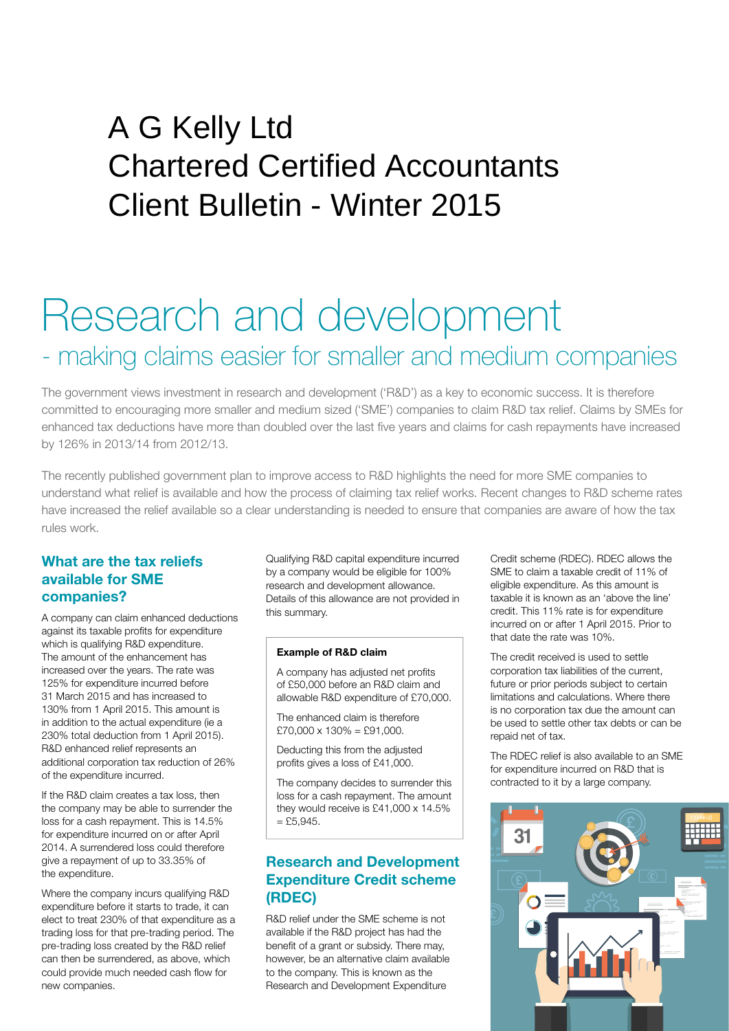## Client Bulletin - Winter 2015 A G Kelly Ltd Chartered Certified Accountants

# Research and development - making claims easier for smaller and medium companies

The government views investment in research and development ('R&D') as a key to economic success. It is therefore committed to encouraging more smaller and medium sized ('SME') companies to claim R&D tax relief. Claims by SMEs for enhanced tax deductions have more than doubled over the last five years and claims for cash repayments have increased by 126% in 2013/14 from 2012/13.

The recently published government plan to improve access to R&D highlights the need for more SME companies to understand what relief is available and how the process of claiming tax relief works. Recent changes to R&D scheme rates have increased the relief available so a clear understanding is needed to ensure that companies are aware of how the tax rules work.

#### **What are the tax reliefs available for SME companies?**

A company can claim enhanced deductions against its taxable profits for expenditure which is qualifying R&D expenditure. The amount of the enhancement has increased over the years. The rate was 125% for expenditure incurred before 31 March 2015 and has increased to 130% from 1 April 2015. This amount is in addition to the actual expenditure (ie a 230% total deduction from 1 April 2015). R&D enhanced relief represents an additional corporation tax reduction of 26% of the expenditure incurred.

If the R&D claim creates a tax loss, then the company may be able to surrender the loss for a cash repayment. This is 14.5% for expenditure incurred on or after April 2014. A surrendered loss could therefore give a repayment of up to 33.35% of the expenditure.

Where the company incurs qualifying R&D expenditure before it starts to trade, it can elect to treat 230% of that expenditure as a trading loss for that pre-trading period. The pre-trading loss created by the R&D relief can then be surrendered, as above, which could provide much needed cash flow for new companies.

Qualifying R&D capital expenditure incurred by a company would be eligible for 100% research and development allowance. Details of this allowance are not provided in this summary.

#### **Example of R&D claim**

A company has adjusted net profits of £50,000 before an R&D claim and allowable R&D expenditure of £70,000.

The enhanced claim is therefore  $£70,000 \times 130\% = £91,000.$ 

Deducting this from the adjusted profits gives a loss of £41,000.

The company decides to surrender this loss for a cash repayment. The amount they would receive is £41,000 x 14.5%  $=$  £5,945.

## **Research and Development Expenditure Credit scheme (RDEC)**

R&D relief under the SME scheme is not available if the R&D project has had the benefit of a grant or subsidy. There may, however, be an alternative claim available to the company. This is known as the Research and Development Expenditure

Credit scheme (RDEC). RDEC allows the SME to claim a taxable credit of 11% of eligible expenditure. As this amount is taxable it is known as an 'above the line' credit. This 11% rate is for expenditure incurred on or after 1 April 2015. Prior to that date the rate was 10%.

The credit received is used to settle corporation tax liabilities of the current, future or prior periods subject to certain limitations and calculations. Where there is no corporation tax due the amount can be used to settle other tax debts or can be repaid net of tax.

The RDEC relief is also available to an SME for expenditure incurred on R&D that is contracted to it by a large company.